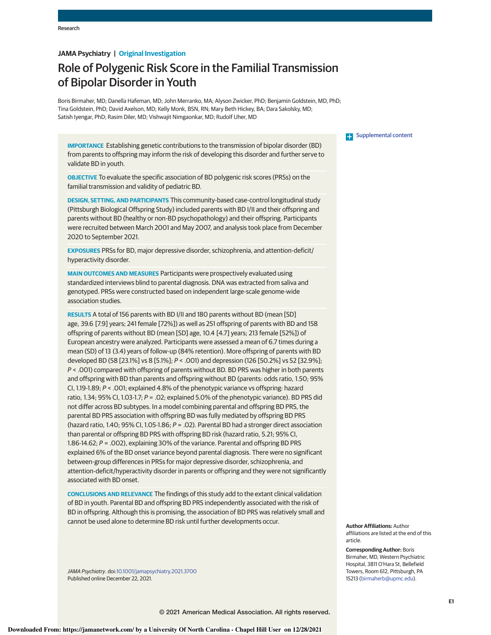# **JAMA Psychiatry | Original Investigation**

# Role of Polygenic Risk Score in the Familial Transmission of Bipolar Disorder in Youth

Boris Birmaher, MD; Danella Hafeman, MD; John Merranko, MA; Alyson Zwicker, PhD; Benjamin Goldstein, MD, PhD; Tina Goldstein, PhD; David Axelson, MD; Kelly Monk, BSN, RN; Mary Beth Hickey, BA; Dara Sakolsky, MD; Satish Iyengar, PhD; Rasim Diler, MD; Vishwajit Nimgaonkar, MD; Rudolf Uher, MD

**IMPORTANCE** Establishing genetic contributions to the transmission of bipolar disorder (BD) from parents to offspring may inform the risk of developing this disorder and further serve to validate BD in youth.

**OBJECTIVE** To evaluate the specific association of BD polygenic risk scores (PRSs) on the familial transmission and validity of pediatric BD.

**DESIGN, SETTING, AND PARTICIPANTS** This community-based case-control longitudinal study (Pittsburgh Biological Offspring Study) included parents with BD I/II and their offspring and parents without BD (healthy or non-BD psychopathology) and their offspring. Participants were recruited between March 2001 and May 2007, and analysis took place from December 2020 to September 2021.

**EXPOSURES** PRSs for BD, major depressive disorder, schizophrenia, and attention-deficit/ hyperactivity disorder.

**MAIN OUTCOMES AND MEASURES** Participants were prospectively evaluated using standardized interviews blind to parental diagnosis. DNA was extracted from saliva and genotyped. PRSs were constructed based on independent large-scale genome-wide association studies.

**RESULTS** A total of 156 parents with BD I/II and 180 parents without BD (mean [SD] age, 39.6 [7.9] years; 241 female [72%]) as well as 251 offspring of parents with BD and 158 offspring of parents without BD (mean [SD] age, 10.4 [4.7] years; 213 female [52%]) of European ancestry were analyzed. Participants were assessed a mean of 6.7 times during a mean (SD) of 13 (3.4) years of follow-up (84% retention). More offspring of parents with BD developed BD (58 [23.1%] vs 8 [5.1%]; *P* < .001) and depression (126 [50.2%] vs 52 [32.9%]; *P* < .001) compared with offspring of parents without BD. BD PRS was higher in both parents and offspring with BD than parents and offspring without BD (parents: odds ratio, 1.50; 95% CI, 1.19-1.89; *P* < .001; explained 4.8% of the phenotypic variance vs offspring: hazard ratio, 1.34; 95% CI, 1.03-1.7; *P* = .02; explained 5.0% of the phenotypic variance). BD PRS did not differ across BD subtypes. In a model combining parental and offspring BD PRS, the parental BD PRS association with offspring BD was fully mediated by offspring BD PRS (hazard ratio, 1.40; 95% CI, 1.05-1.86; *P* = .02). Parental BD had a stronger direct association than parental or offspring BD PRS with offspring BD risk (hazard ratio, 5.21; 95% CI, 1.86-14.62; *P* = .002), explaining 30% of the variance. Parental and offspring BD PRS explained 6% of the BD onset variance beyond parental diagnosis. There were no significant between-group differences in PRSs for major depressive disorder, schizophrenia, and attention-deficit/hyperactivity disorder in parents or offspring and they were not significantly associated with BD onset.

**CONCLUSIONS AND RELEVANCE** The findings of this study add to the extant clinical validation of BD in youth. Parental BD and offspring BD PRS independently associated with the risk of BD in offspring. Although this is promising, the association of BD PRS was relatively small and cannot be used alone to determine BD risk until further developments occur.

*JAMA Psychiatry*. doi:10.1001/jamapsychiatry.2021.3700 Published online December 22, 2021.

**Examplemental content** 

**Author Affiliations:** Author affiliations are listed at the end of this article.

**Corresponding Author:** Boris Birmaher, MD, Western Psychiatric Hospital, 3811 O'Hara St, Bellefield Towers, Room 612, Pittsburgh, PA 15213 (birmaherb@upmc.edu).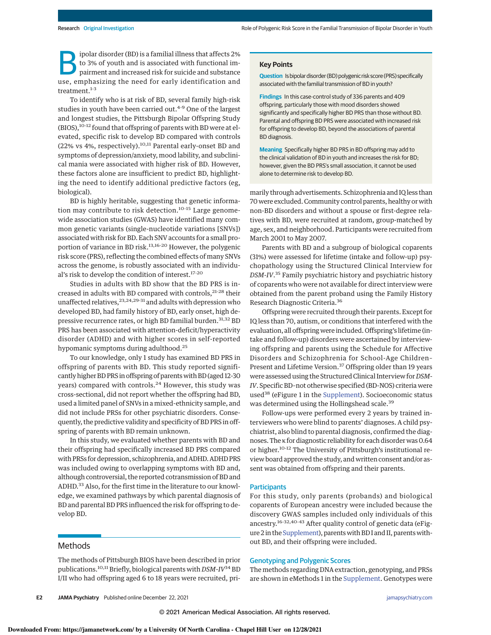polar disorder (BD) is a familial illness that affects 2%<br>to 3% of youth and is associated with functional im-<br>pairment and increased risk for suicide and substance<br>use, emphasizing the need for early identification and ipolar disorder (BD) is a familial illness that affects 2% to 3% of youth and is associated with functional impairment and increased risk for suicide and substance treatment.<sup>1-3</sup>

To identify who is at risk of BD, several family high-risk studies in youth have been carried out.<sup>4-9</sup> One of the largest and longest studies, the Pittsburgh Bipolar Offspring Study (BIOS),10-12 found that offspring of parents with BD were at elevated, specific risk to develop BD compared with controls (22% vs 4%, respectively).<sup>10,11</sup> Parental early-onset BD and symptoms of depression/anxiety, mood lability, and subclinical mania were associated with higher risk of BD. However, these factors alone are insufficient to predict BD, highlighting the need to identify additional predictive factors (eg, biological).

BD is highly heritable, suggesting that genetic information may contribute to risk detection.<sup>10-15</sup> Large genomewide association studies (GWAS) have identified many common genetic variants (single-nucleotide variations [SNVs]) associated with risk for BD. Each SNV accounts for a small proportion of variance in BD risk.<sup>13,16-20</sup> However, the polygenic risk score (PRS), reflecting the combined effects of many SNVs across the genome, is robustly associated with an individual's risk to develop the condition of interest.<sup>17-20</sup>

Studies in adults with BD show that the BD PRS is increased in adults with BD compared with controls,<sup>21-28</sup> their unaffected relatives,  $23,24,29-31$  and adults with depression who developed BD, had family history of BD, early onset, high depressive recurrence rates, or high BD familial burden.<sup>31,32</sup> BD PRS has been associated with attention-deficit/hyperactivity disorder (ADHD) and with higher scores in self-reported hypomanic symptoms during adulthood.<sup>25</sup>

To our knowledge, only 1 study has examined BD PRS in offspring of parents with BD. This study reported significantly higher BD PRS in offspring of parentswith BD (aged 12-30 years) compared with controls.<sup>24</sup> However, this study was cross-sectional, did not report whether the offspring had BD, used a limited panel of SNVs in a mixed-ethnicity sample, and did not include PRSs for other psychiatric disorders. Consequently, the predictive validity and specificity of BD PRS in offspring of parents with BD remain unknown.

In this study, we evaluated whether parents with BD and their offspring had specifically increased BD PRS compared with PRSs for depression, schizophrenia, and ADHD. ADHD PRS was included owing to overlapping symptoms with BD and, although controversial, the reported cotransmission of BD and ADHD.<sup>33</sup> Also, for the first time in the literature to our knowledge, we examined pathways by which parental diagnosis of BD and parental BD PRS influenced the risk for offspring to develop BD.

# Methods

The methods of Pittsburgh BIOS have been described in prior publications.<sup>10,11</sup> Briefly, biological parents with  $DSM-IV^{34}$  BD I/II who had offspring aged 6 to 18 years were recruited, pri-

## **Key Points**

**Question** Is bipolar disorder (BD) polygenic risk score (PRS) specifically associated with the familial transmission of BD in youth?

**Findings** In this case-control study of 336 parents and 409 offspring, particularly those with mood disorders showed significantly and specifically higher BD PRS than those without BD. Parental and offspring BD PRS were associated with increased risk for offspring to develop BD, beyond the associations of parental BD diagnosis.

**Meaning** Specifically higher BD PRS in BD offspring may add to the clinical validation of BD in youth and increases the risk for BD; however, given the BD PRS's small association, it cannot be used alone to determine risk to develop BD.

marily through advertisements. Schizophrenia and IQ less than 70 were excluded. Community control parents, healthy or with non-BD disorders and without a spouse or first-degree relatives with BD, were recruited at random, group-matched by age, sex, and neighborhood. Participants were recruited from March 2001 to May 2007.

Parents with BD and a subgroup of biological coparents (31%) were assessed for lifetime (intake and follow-up) psychopathology using the Structured Clinical Interview for DSM-IV.<sup>35</sup> Family psychiatric history and psychiatric history of coparents who were not available for direct interview were obtained from the parent proband using the Family History Research Diagnostic Criteria.<sup>36</sup>

Offspring were recruited through their parents. Except for IQ less than 70, autism, or conditions that interfered with the evaluation, all offspring were included. Offspring's lifetime (intake and follow-up) disorders were ascertained by interviewing offspring and parents using the Schedule for Affective Disorders and Schizophrenia for School-Age Children– Present and Lifetime Version.<sup>37</sup> Offspring older than 19 years were assessed using the Structured Clinical Interview for DSM-IV. Specific BD–not otherwise specified (BD-NOS) criteria were used<sup>38</sup> (eFigure 1 in the Supplement). Socioeconomic status was determined using the Hollingshead scale.<sup>39</sup>

Follow-ups were performed every 2 years by trained interviewers who were blind to parents' diagnoses. A child psychiatrist, also blind to parental diagnosis, confirmed the diagnoses. The κ for diagnostic reliability for each disorder was 0.64 or higher.10-12 The University of Pittsburgh's institutional review board approved the study, and written consent and/or assent was obtained from offspring and their parents.

#### **Participants**

For this study, only parents (probands) and biological coparents of European ancestry were included because the discovery GWAS samples included only individuals of this ancestry.16-32,40-43 After quality control of genetic data (eFigure 2 in the Supplement), parents with BD I and II, parents without BD, and their offspring were included.

# Genotyping and Polygenic Scores

The methods regarding DNA extraction, genotyping, and PRSs are shown in eMethods 1 in the Supplement. Genotypes were

**E2** JAMA Psychiatry Published online December 22, 2021 **(Reprinted)** in the system of the printed online of the printed online December 22, 2021 **(Reprinted)** in the system of the system of the system of the system of the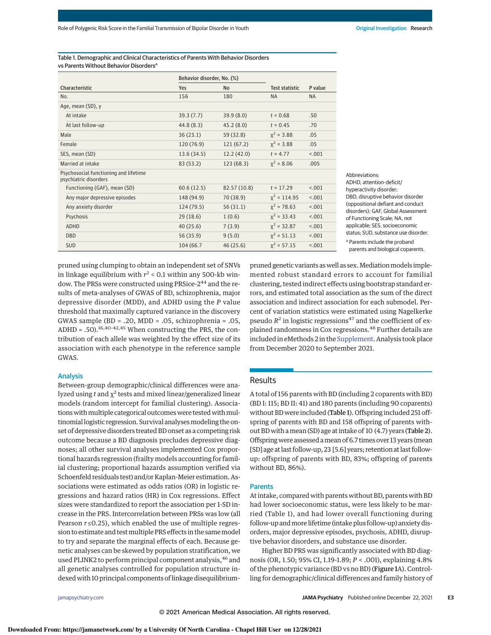Table 1. Demographic and Clinical Characteristics of Parents With Behavior Disorders vs Parents Without Behavior Disorders<sup>a</sup>

|                                                                | Behavior disorder, No. (%) |              |                |           |
|----------------------------------------------------------------|----------------------------|--------------|----------------|-----------|
| Characteristic                                                 | <b>Yes</b>                 | <b>No</b>    | Test statistic | P value   |
| No.                                                            | 156                        | 180          | <b>NA</b>      | <b>NA</b> |
| Age, mean (SD), y                                              |                            |              |                |           |
| At intake                                                      | 39.3(7.7)                  | 39.9(8.0)    | $t = 0.68$     | .50       |
| At last follow-up                                              | 44.8 (8.3)                 | 45.2(8.0)    | $t = 0.45$     | .70       |
| Male                                                           | 36(23.1)                   | 59 (32.8)    | $x^2 = 3.88$   | .05       |
| Female                                                         | 120 (76.9)                 | 121(67.2)    | $x^2 = 3.88$   | .05       |
| SES, mean (SD)                                                 | 13.6(34.5)                 | 12.2(42.0)   | $t = 4.77$     | < 0.01    |
| Married at intake                                              | 83 (53.2)                  | 123(68.3)    | $x^2 = 8.06$   | .005      |
| Psychosocial functioning and lifetime<br>psychiatric disorders |                            |              |                |           |
| Functioning (GAF), mean (SD)                                   | 60.6(12.5)                 | 82.57 (10.8) | $t = 17.29$    | < 0.01    |
| Any major depressive episodes                                  | 148 (94.9)                 | 70 (38.9)    | $x^2 = 114.95$ | < 0.01    |
| Any anxiety disorder                                           | 124 (79.5)                 | 56(31.1)     | $x^2 = 78.63$  | < 0.01    |
| Psychosis                                                      | 29(18.6)                   | 1(0.6)       | $x^2 = 33.43$  | < 0.01    |
| <b>ADHD</b>                                                    | 40(25.6)                   | 7(3.9)       | $x^2 = 32.87$  | < 0.01    |
| <b>DBD</b>                                                     | 56 (35.9)                  | 9(5.0)       | $x^2 = 51.13$  | < 0.01    |
| <b>SUD</b>                                                     | 104 (66.7                  | 46(25.6)     | $x^2 = 57.15$  | < .001    |

Abbreviations: ADHD, attention-deficit/ hyperactivity disorder; DBD, disruptive behavior disorder (oppositional defiant and conduct disorders); GAF, Global Assessment of Functioning Scale; NA, not applicable; SES, socioeconomic status; SUD, substance use disorder. <sup>a</sup> Parents include the proband parents and biological coparents.

pruned using clumping to obtain an independent set of SNVs in linkage equilibrium with  $r^2$  < 0.1 within any 500-kb window. The PRSs were constructed using PRSice-2<sup>44</sup> and the results of meta-analyses of GWAS of BD, schizophrenia, major depressive disorder (MDD), and ADHD using the P value threshold that maximally captured variance in the discovery GWAS sample (BD = .20, MDD = .05, schizophrenia = .05, ADHD =  $.50$ ).<sup>16,40-42,45</sup> When constructing the PRS, the contribution of each allele was weighted by the effect size of its association with each phenotype in the reference sample GWAS.

#### Analysis

Between-group demographic/clinical differences were analyzed using  $t$  and  $\chi^2$  tests and mixed linear/generalized linear models (random intercept for familial clustering). Associations with multiple categorical outcomes were tested with multinomial logistic regression. Survival analyses modeling the onset of depressive disorders treated BD onset as a competing risk outcome because a BD diagnosis precludes depressive diagnoses; all other survival analyses implemented Cox proportional hazards regression (frailty models accounting for familial clustering; proportional hazards assumption verified via Schoenfeld residuals test) and/or Kaplan-Meier estimation. Associations were estimated as odds ratios (OR) in logistic regressions and hazard ratios (HR) in Cox regressions. Effect sizes were standardized to report the association per 1-SD increase in the PRS. Intercorrelation between PRSs was low (all Pearson  $r \le 0.25$ ), which enabled the use of multiple regression to estimate and test multiple PRS effects in the same model to try and separate the marginal effects of each. Because genetic analyses can be skewed by population stratification, we used PLINK2 to perform principal component analysis, <sup>46</sup> and all genetic analyses controlled for population structure indexed with 10 principal components of linkage disequilibrium–

pruned genetic variants as well as sex. Mediation models implemented robust standard errors to account for familial clustering, tested indirect effects using bootstrap standard errors, and estimated total association as the sum of the direct association and indirect association for each submodel. Percent of variation statistics were estimated using Nagelkerke pseudo  $R^2$  in logistic regressions<sup>47</sup> and the coefficient of explained randomness in Cox regressions.<sup>48</sup> Further details are included in eMethods 2 in the Supplement. Analysis took place from December 2020 to September 2021.

# Results

A total of 156 parents with BD (including 2 coparents with BD) (BD I: 115; BD II: 41) and 180 parents (including 90 coparents) without BD were included (Table 1). Offspring included 251 offspring of parents with BD and 158 offspring of parents without BD with amean (SD) age at intake of 10 (4.7) years (Table 2). Offspringwere assessed amean of 6.7 times over 13 years (mean [SD] age at last follow-up, 23 [5.6] years; retention at last followup: offspring of parents with BD, 83%; offspring of parents without BD, 86%).

#### Parents

At intake, compared with parents without BD, parents with BD had lower socioeconomic status, were less likely to be married (Table 1), and had lower overall functioning during follow-up andmore lifetime (intake plus follow-up) anxiety disorders, major depressive episodes, psychosis, ADHD, disruptive behavior disorders, and substance use disorder.

Higher BD PRS was significantly associated with BD diagnosis (OR, 1.50; 95% CI, 1.19-1.89; P < .001), explaining 4.8% of the phenotypic variance (BD vs no BD) (Figure 1A). Controlling for demographic/clinical differences and family history of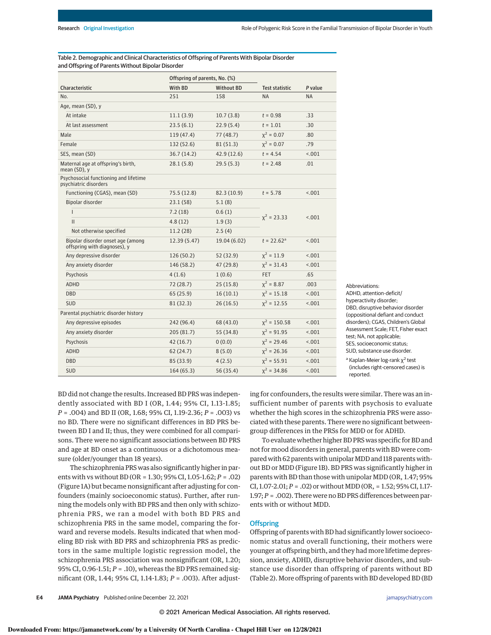Table 2. Demographic and Clinical Characteristics of Offspring of Parents With Bipolar Disorder and Offspring of Parents Without Bipolar Disorder

|                                                                   | Offspring of parents, No. (%) |                   |                       |           |
|-------------------------------------------------------------------|-------------------------------|-------------------|-----------------------|-----------|
| Characteristic                                                    | With BD                       | <b>Without BD</b> | <b>Test statistic</b> | P value   |
| No.                                                               | 251                           | 158               | <b>NA</b>             | <b>NA</b> |
| Age, mean (SD), y                                                 |                               |                   |                       |           |
| At intake                                                         | 11.1(3.9)                     | 10.7(3.8)         | $t = 0.98$            | .33       |
| At last assessment                                                | 23.5(6.1)                     | 22.9(5.4)         | $t = 1.01$            | .30       |
| Male                                                              | 119(47.4)                     | 77(48.7)          | $x^2 = 0.07$          | .80       |
| Female                                                            | 132 (52.6)                    | 81(51.3)          | $x^2 = 0.07$          | .79       |
| SES, mean (SD)                                                    | 36.7(14.2)                    | 42.9(12.6)        | $t = 4.54$            | < .001    |
| Maternal age at offspring's birth,<br>mean (SD), y                | 28.1(5.8)                     | 29.5(5.3)         | $t = 2.48$            | .01       |
| Psychosocial functioning and lifetime<br>psychiatric disorders    |                               |                   |                       |           |
| Functioning (CGAS), mean (SD)                                     | 75.5 (12.8)                   | 82.3 (10.9)       | $t = 5.78$            | < 0.01    |
| Bipolar disorder                                                  | 23.1(58)                      | 5.1(8)            | $x^2 = 23.33$         | < .001    |
| T                                                                 | 7.2(18)                       | 0.6(1)            |                       |           |
| $\mathbf{II}$                                                     | 4.8(12)                       | 1.9(3)            |                       |           |
| Not otherwise specified                                           | 11.2(28)                      | 2.5(4)            |                       |           |
| Bipolar disorder onset age (among<br>offspring with diagnoses), y | 12.39 (5.47)                  | 19.04 (6.02)      | $t = 22.62^a$         | 1001      |
| Any depressive disorder                                           | 126(50.2)                     | 52 (32.9)         | $x^2 = 11.9$          | < .001    |
| Any anxiety disorder                                              | 146 (58.2)                    | 47 (29.8)         | $x^2 = 31.43$         | < 0.01    |
| Psychosis                                                         | 4(1.6)                        | 1(0.6)            | <b>FET</b>            | .65       |
| <b>ADHD</b>                                                       | 72(28.7)                      | 25(15.8)          | $x^2 = 8.87$          | .003      |
| <b>DBD</b>                                                        | 65(25.9)                      | 16(10.1)          | $x^2 = 15.18$         | < 0.01    |
| <b>SUD</b>                                                        | 81(32.3)                      | 26(16.5)          | $x^2 = 12.55$         | < .001    |
| Parental psychiatric disorder history                             |                               |                   |                       |           |
| Any depressive episodes                                           | 242 (96.4)                    | 68 (43.0)         | $x^2 = 150.58$        | 1001      |
| Any anxiety disorder                                              | 205 (81.7)                    | 55 (34.8)         | $x^2 = 91.95$         | < 0.01    |
| Psychosis                                                         | 42(16.7)                      | 0(0.0)            | $x^2 = 29.46$         | < 0.01    |
| <b>ADHD</b>                                                       | 62(24.7)                      | 8(5.0)            | $x^2 = 26.36$         | < 0.01    |
| <b>DBD</b>                                                        | 85 (33.9)                     | 4(2.5)            | $x^2 = 55.91$         | < .001    |
| <b>SUD</b>                                                        | 164(65.3)                     | 56 (35.4)         | $x^2 = 34.86$         | < .001    |

ADHD, attention-deficit/ hyperactivity disorder; DBD, disruptive behavior disorder (oppositional defiant and conduct disorders); CGAS, Children's Global Assessment Scale; FET, Fisher exact test; NA, not applicable; SES, socioeconomic status; SUD, substance use disorder.

Abbreviations:

<sup>a</sup> Kaplan-Meier log-rank χ<sup>2</sup> test (includes right-censored cases) is reported.

BD did not change the results. Increased BD PRS was independently associated with BD I (OR, 1.44; 95% CI, 1.13-1.85;  $P = .004$ ) and BD II (OR, 1.68; 95% CI, 1.19-2.36;  $P = .003$ ) vs no BD. There were no significant differences in BD PRS between BD I and II; thus, they were combined for all comparisons. There were no significant associations between BD PRS and age at BD onset as a continuous or a dichotomous measure (older/younger than 18 years).

The schizophrenia PRS was also significantly higher in parents with vs without BD (OR = 1.30; 95% CI, 1.05-1.62; P = .02) (Figure 1A) but became nonsignificant after adjusting for confounders (mainly socioeconomic status). Further, after running the models only with BD PRS and then only with schizophrenia PRS, we ran a model with both BD PRS and schizophrenia PRS in the same model, comparing the forward and reverse models. Results indicated that when modeling BD risk with BD PRS and schizophrenia PRS as predictors in the same multiple logistic regression model, the schizophrenia PRS association was nonsignificant (OR, 1.20; 95% CI, 0.96-1.51;  $P = .10$ ), whereas the BD PRS remained significant (OR, 1.44; 95% CI, 1.14-1.83; P = .003). After adjusting for confounders, the results were similar. There was an insufficient number of parents with psychosis to evaluate whether the high scores in the schizophrenia PRS were associated with these parents. There were no significant betweengroup differences in the PRSs for MDD or for ADHD.

To evaluate whether higher BD PRS was specific for BD and not for mood disorders in general, parents with BD were compared with 62 parents with unipolar MDD and 118 parents without BD or MDD (Figure 1B). BD PRS was significantly higher in parents with BD than those with unipolar MDD (OR, 1.47; 95% CI,  $1.07-2.01; P = .02$ ) or without MDD (OR, = 1.52; 95% CI, 1.17- $1.97; P = .002$ ). There were no BD PRS differences between parents with or without MDD.

### **Offspring**

Offspring of parents with BD had significantly lower socioeconomic status and overall functioning, their mothers were younger at offspring birth, and they had more lifetime depression, anxiety, ADHD, disruptive behavior disorders, and substance use disorder than offspring of parents without BD (Table 2). More offspring of parents with BD developed BD (BD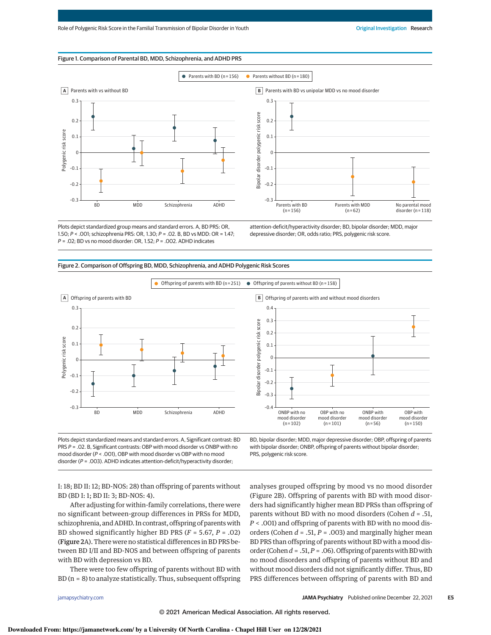### Figure 1. Comparison of Parental BD, MDD, Schizophrenia, and ADHD PRS



Plots depict standardized group means and standard errors. A, BD PRS: OR, 1.50; *P* < .001; schizophrenia PRS: OR, 1.30; *P* = .02. B, BD vs MDD: OR = 1.47; *P* = .02; BD vs no mood disorder: OR, 1.52; *P* = .002. ADHD indicates

attention-deficit/hyperactivity disorder; BD, bipolar disorder; MDD, major depressive disorder; OR, odds ratio; PRS, polygenic risk score.

Figure 2. Comparison of Offspring BD, MDD, Schizophrenia, and ADHD Polygenic Risk Scores



Plots depict standardized means and standard errors. A, Significant contrast: BD PRS *P* = .02. B, Significant contrasts: OBP with mood disorder vs ONBP with no mood disorder (*P* < .001), OBP with mood disorder vs OBP with no mood disorder (*P* = .003). ADHD indicates attention-deficit/hyperactivity disorder;

BD, bipolar disorder; MDD, major depressive disorder; OBP, offspring of parents with bipolar disorder; ONBP, offspring of parents without bipolar disorder; PRS, polygenic risk score.

I: 18; BD II: 12; BD-NOS: 28) than offspring of parents without BD (BD I: 1; BD II: 3; BD-NOS: 4).

After adjusting for within-family correlations, there were no significant between-group differences in PRSs for MDD, schizophrenia, and ADHD. In contrast, offspring of parentswith BD showed significantly higher BD PRS ( $F = 5.67$ ,  $P = .02$ ) (Figure 2A). There were no statistical differences in BD PRS between BD I/II and BD-NOS and between offspring of parents with BD with depression vs BD.

There were too few offspring of parents without BD with  $BD$  ( $n = 8$ ) to analyze statistically. Thus, subsequent offspring analyses grouped offspring by mood vs no mood disorder (Figure 2B). Offspring of parents with BD with mood disorders had significantly higher mean BD PRSs than offspring of parents without BD with no mood disorders (Cohen  $d = .51$ , P < .001) and offspring of parents with BD with no mood disorders (Cohen  $d = .51$ ,  $P = .003$ ) and marginally higher mean BD PRS than offspring of parents without BD with a mood disorder (Cohen  $d = .51, P = .06$ ). Offspring of parents with BD with no mood disorders and offspring of parents without BD and without mood disorders did not significantly differ. Thus, BD PRS differences between offspring of parents with BD and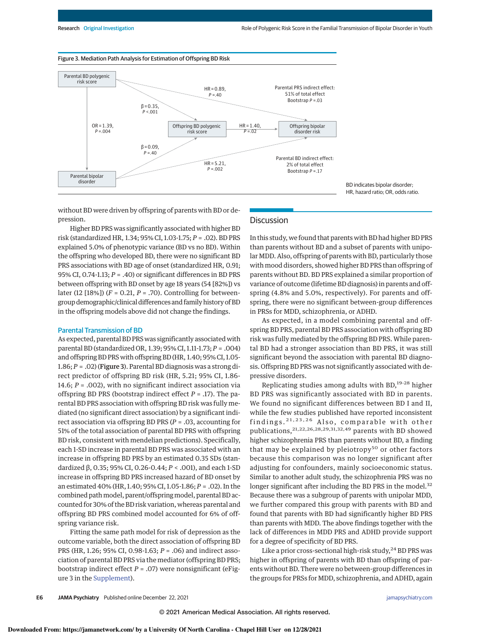

BD indicates bipolar disorder; HR, hazard ratio; OR, odds ratio.

without BD were driven by offspring of parents with BD or depression.

# **Discussion**

Higher BD PRS was significantly associated with higher BD risk (standardized HR, 1.34; 95% CI, 1.03-1.75; P = .02). BD PRS explained 5.0% of phenotypic variance (BD vs no BD). Within the offspring who developed BD, there were no significant BD PRS associations with BD age of onset (standardized HR, 0.91; 95% CI, 0.74-1.13;  $P = .40$ ) or significant differences in BD PRS between offspring with BD onset by age 18 years (54 [82%]) vs later (12 [18%]) ( $F = 0.21, P = .70$ ). Controlling for betweengroup demographic/clinical differences and family history of BD in the offspring models above did not change the findings.

## Parental Transmission of BD

As expected, parental BD PRS was significantly associated with parental BD (standardized OR, 1.39; 95% CI, 1.11-1.73; P = .004) and offspring BD PRS with offspring BD (HR, 1.40; 95% CI, 1.05- 1.86; P = .02) (Figure 3). Parental BD diagnosis was a strong direct predictor of offspring BD risk (HR, 5.21; 95% CI, 1.86- 14.6;  $P = .002$ ), with no significant indirect association via offspring BD PRS (bootstrap indirect effect  $P = .17$ ). The parental BD PRS association with offspring BD risk was fully mediated (no significant direct association) by a significant indirect association via offspring BD PRS ( $P = .03$ , accounting for 51% of the total association of parental BD PRS with offspring BD risk, consistent with mendelian predictions). Specifically, each 1-SD increase in parental BD PRS was associated with an increase in offspring BD PRS by an estimated 0.35 SDs (standardized β, 0.35; 95% CI, 0.26-0.44; P < .001), and each 1-SD increase in offspring BD PRS increased hazard of BD onset by an estimated 40% (HR, 1.40; 95% CI, 1.05-1.86; P = .02). In the combined pathmodel, parent/offspringmodel, parental BD accounted for 30% of the BD risk variation, whereas parental and offspring BD PRS combined model accounted for 6% of offspring variance risk.

Fitting the same path model for risk of depression as the outcome variable, both the direct association of offspring BD PRS (HR, 1.26; 95% CI, 0.98-1.63; P = .06) and indirect association of parental BD PRS via the mediator (offspring BD PRS; bootstrap indirect effect  $P = .07$ ) were nonsignificant (eFigure 3 in the Supplement).

In this study, we found that parents with BD had higher BD PRS than parents without BD and a subset of parents with unipolar MDD. Also, offspring of parents with BD, particularly those with mood disorders, showed higher BD PRS than offspring of parents without BD. BD PRS explained a similar proportion of variance of outcome (lifetime BD diagnosis) in parents and offspring (4.8% and 5.0%, respectively). For parents and offspring, there were no significant between-group differences in PRSs for MDD, schizophrenia, or ADHD.

As expected, in a model combining parental and offspring BD PRS, parental BD PRS association with offspring BD risk was fully mediated by the offspring BD PRS. While parental BD had a stronger association than BD PRS, it was still significant beyond the association with parental BD diagnosis. Offspring BD PRS was not significantly associated with depressive disorders.

Replicating studies among adults with BD,19-28 higher BD PRS was significantly associated with BD in parents. We found no significant differences between BD I and II, while the few studies published have reported inconsistent findings. 21,23,26 Also, comparable with other publications,21,22,26,28,29,31,32,49 parents with BD showed higher schizophrenia PRS than parents without BD, a finding that may be explained by pleiotropy<sup>50</sup> or other factors because this comparison was no longer significant after adjusting for confounders, mainly socioeconomic status. Similar to another adult study, the schizophrenia PRS was no longer significant after including the BD PRS in the model. $32$ Because there was a subgroup of parents with unipolar MDD, we further compared this group with parents with BD and found that parents with BD had significantly higher BD PRS than parents with MDD. The above findings together with the lack of differences in MDD PRS and ADHD provide support for a degree of specificity of BD PRS.

Like a prior cross-sectional high-risk study,<sup>24</sup> BD PRS was higher in offspring of parents with BD than offspring of parents without BD. There were no between-group differences in the groups for PRSs for MDD, schizophrenia, and ADHD, again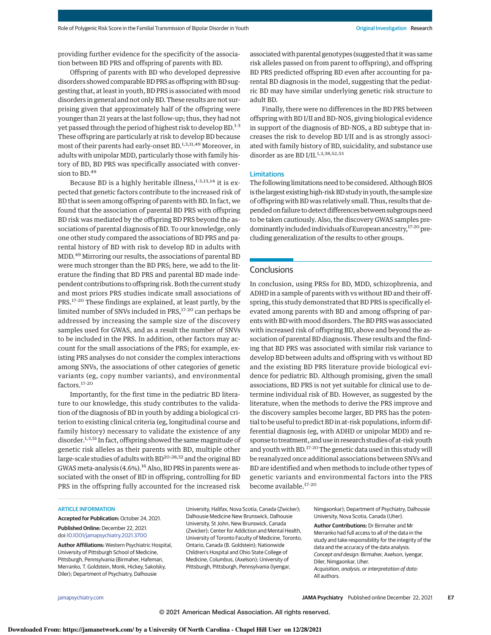providing further evidence for the specificity of the association between BD PRS and offspring of parents with BD.

Offspring of parents with BD who developed depressive disorders showed comparable BD PRS as offspring with BD suggesting that, at least in youth, BD PRS is associated with mood disorders in general and not only BD. These results are not surprising given that approximately half of the offspring were younger than 21 years at the last follow-up; thus, they had not yet passed through the period of highest risk to develop BD.1-3 These offspring are particularly at risk to develop BD because most of their parents had early-onset BD.1,3,11,49 Moreover, in adults with unipolar MDD, particularly those with family history of BD, BD PRS was specifically associated with conversion to BD.<sup>49</sup>

Because BD is a highly heritable illness,<sup>1-3,13,14</sup> it is expected that genetic factors contribute to the increased risk of BD that is seen among offspring of parents with BD. In fact, we found that the association of parental BD PRS with offspring BD risk was mediated by the offspring BD PRS beyond the associations of parental diagnosis of BD. To our knowledge, only one other study compared the associations of BD PRS and parental history of BD with risk to develop BD in adults with MDD.<sup>49</sup> Mirroring our results, the associations of parental BD were much stronger than the BD PRS; here, we add to the literature the finding that BD PRS and parental BD made independent contributions to offspring risk. Both the current study and most priors PRS studies indicate small associations of PRS.17-20 These findings are explained, at least partly, by the limited number of SNVs included in PRS,<sup>17-20</sup> can perhaps be addressed by increasing the sample size of the discovery samples used for GWAS, and as a result the number of SNVs to be included in the PRS. In addition, other factors may account for the small associations of the PRS; for example, existing PRS analyses do not consider the complex interactions among SNVs, the associations of other categories of genetic variants (eg, copy number variants), and environmental factors.17-20

Importantly, for the first time in the pediatric BD literature to our knowledge, this study contributes to the validation of the diagnosis of BD in youth by adding a biological criterion to existing clinical criteria (eg, longitudinal course and family history) necessary to validate the existence of any disorder.<sup>1,3,51</sup> In fact, offspring showed the same magnitude of genetic risk alleles as their parents with BD, multiple other large-scale studies of adults with BD<sup>20-28,32</sup> and the original BD GWAS meta-analysis (4.6%).<sup>16</sup> Also, BD PRS in parents were associated with the onset of BD in offspring, controlling for BD PRS in the offspring fully accounted for the increased risk

associated with parental genotypes (suggested that it was same risk alleles passed on from parent to offspring), and offspring BD PRS predicted offspring BD even after accounting for parental BD diagnosis in the model, suggesting that the pediatric BD may have similar underlying genetic risk structure to adult BD.

Finally, there were no differences in the BD PRS between offspring with BD I/II and BD-NOS, giving biological evidence in support of the diagnosis of BD-NOS, a BD subtype that increases the risk to develop BD I/II and is as strongly associated with family history of BD, suicidality, and substance use disorder as are BD I/II.<sup>1,3,38,52,53</sup>

#### Limitations

The following limitations need to be considered. Although BIOS is the largest existing high-risk BD study in youth, the sample size of offspring with BD was relatively small. Thus, results that depended on failure to detect differences between subgroups need to be taken cautiously. Also, the discovery GWAS samples predominantly included individuals of European ancestry,<sup>17-20</sup> precluding generalization of the results to other groups.

#### Conclusions

In conclusion, using PRSs for BD, MDD, schizophrenia, and ADHD in a sample of parents with vs without BD and their offspring, this study demonstrated that BD PRS is specifically elevated among parents with BD and among offspring of parents with BD with mood disorders. The BD PRS was associated with increased risk of offspring BD, above and beyond the association of parental BD diagnosis. These results and the finding that BD PRS was associated with similar risk variance to develop BD between adults and offspring with vs without BD and the existing BD PRS literature provide biological evidence for pediatric BD. Although promising, given the small associations, BD PRS is not yet suitable for clinical use to determine individual risk of BD. However, as suggested by the literature, when the methods to derive the PRS improve and the discovery samples become larger, BD PRS has the potential to be useful to predict BD in at-risk populations, inform differential diagnosis (eg, with ADHD or unipolar MDD) and response to treatment, and use in research studies of at-risk youth and youth with BD.<sup>17-20</sup> The genetic data used in this study will be reanalyzed once additional associations between SNVs and BD are identified and when methods to include other types of genetic variants and environmental factors into the PRS become available.17-20

#### ARTICLE INFORMATION

**Accepted for Publication:** October 24, 2021. **Published Online:** December 22, 2021. doi:10.1001/jamapsychiatry.2021.3700

**Author Affiliations:** Western Psychiatric Hospital, University of Pittsburgh School of Medicine, Pittsburgh, Pennsylvania (Birmaher, Hafeman, Merranko, T. Goldstein, Monk, Hickey, Sakolsky, Diler); Department of Psychiatry, Dalhousie

University, Halifax, Nova Scotia, Canada (Zwicker); Dalhousie Medicine New Brunswick, Dalhousie University, St John, New Brunswick, Canada (Zwicker); Center for Addiction and Mental Health, University of Toronto Faculty of Medicine, Toronto, Ontario, Canada (B. Goldstein); Nationwide Children's Hospital and Ohio State College of Medicine, Columbus, (Axelson); University of Pittsburgh, Pittsburgh, Pennsylvania (Iyengar,

Nimgaonkar); Department of Psychiatry, Dalhousie University, Nova Scotia, Canada (Uher).

**Author Contributions:** Dr Birmaher and Mr Merranko had full access to all of the data in the study and take responsibility for the integrity of the data and the accuracy of the data analysis. *Concept and design:* Birmaher, Axelson, Iyengar, Diler, Nimgaonkar, Uher. *Acquisition, analysis, or interpretation of data:* All authors.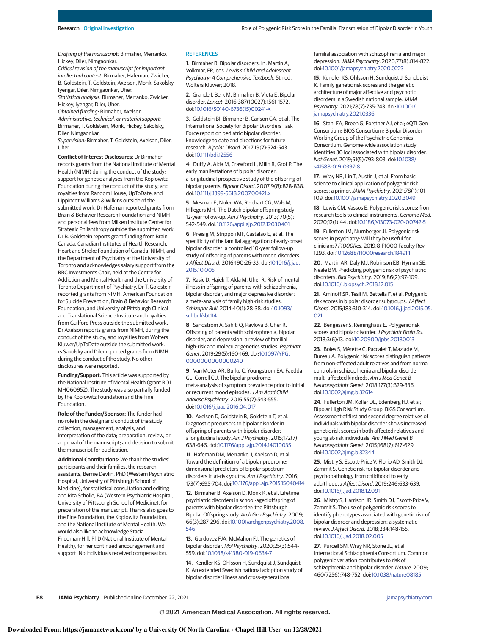*Drafting of the manuscript:* Birmaher, Merranko, Hickey, Diler, Nimgaonkar.

*Critical revision of the manuscript for important intellectual content:* Birmaher, Hafeman, Zwicker, B. Goldstein, T. Goldstein, Axelson, Monk, Sakolsky, Iyengar, Diler, Nimgaonkar, Uher.

*Statistical analysis:* Birmaher, Merranko, Zwicker, Hickey, Iyengar, Diler, Uher.

*Obtained funding:* Birmaher, Axelson.

*Administrative, technical, or material support:* Birmaher, T. Goldstein, Monk, Hickey, Sakolsky, Diler, Nimgaonkar.

*Supervision:* Birmaher, T. Goldstein, Axelson, Diler, Uher.

**Conflict of Interest Disclosures:** Dr Birmaher reports grants from the National Institute of Mental Health (NIMH) during the conduct of the study; support for genetic analyses from the Koplowitz Foundation during the conduct of the study; and royalties from Random House, UpToDate, and Lippincot Williams & Wilkins outside of the submitted work. Dr Hafeman reported grants from Brain & Behavior Research Foundation and NIMH and personal fees from Milken Institute Center for Strategic Philanthropy outside the submitted work. Dr B. Goldstein reports grant funding from Brain Canada, Canadian Institutes of Health Research, Heart and Stroke Foundation of Canada, NIMH, and the Department of Psychiatry at the University of Toronto and acknowledges salary support from the RBC Investments Chair, held at the Centre for Addiction and Mental Health and the University of Toronto Department of Psychiatry. Dr T. Goldstein reported grants from NIMH, American Foundation for Suicide Prevention, Brain & Behavior Research Foundation, and University of Pittsburgh Clinical and Translational Science Institute and royalties from Guilford Press outside the submitted work. Dr Axelson reports grants from NIMH, during the conduct of the study; and royalties from Wolters Kluwer/UpToDate outside the submitted work. rs Sakolsky and Diler reported grants from NIMH during the conduct of the study. No other disclosures were reported.

**Funding/Support:** This article was supported by the National Institute of Mental Health (grant RO1 MH060952). The study was also partially funded by the Koplowitz Foundation and the Fine Foundation.

**Role of the Funder/Sponsor:** The funder had no role in the design and conduct of the study; collection, management, analysis, and interpretation of the data; preparation, review, or approval of the manuscript; and decision to submit the manuscript for publication.

**Additional Contributions:** We thank the studies' participants and their families, the research assistants, Bernie Devlin, PhD (Western Psychiatric Hospital, University of Pittsburgh School of Medicine), for statistical consultation and editing and Rita Scholle, BA (Western Psychiatric Hospital, University of Pittsburgh School of Medicine), for preparation of the manuscript. Thanks also goes to the Fine Foundation, the Koplowitz Foundation, and the National Institute of Mental Health. We would also like to acknowledge Stacia Friedman-Hill, PhD (National Institute of Mental Health), for her continued encouragement and support. No individuals received compensation.

#### **REFERENCES**

**1**. Birmaher B. Bipolar disorders. In: Martin A, Volkmar, FR, eds. *Lewis's Child and Adolescent Psychiatry: A Comprehensive Textbook*. 5th ed. Wolters Kluwer; 2018.

**2**. Grande I, Berk M, Birmaher B, Vieta E. Bipolar disorder. *Lancet*. 2016;387(10027):1561-1572. doi:10.1016/S0140-6736(15)00241-X

**3**. Goldstein BI, Birmaher B, Carlson GA, et al. The International Society for Bipolar Disorders Task Force report on pediatric bipolar disorder: knowledge to date and directions for future research. *Bipolar Disord*. 2017;19(7):524-543. doi:10.1111/bdi.12556

**4**. Duffy A, Alda M, Crawford L, Milin R, Grof P. The early manifestations of bipolar disorder: a longitudinal prospective study of the offspring of bipolar parents. *Bipolar Disord*. 2007;9(8):828-838. doi:10.1111/j.1399-5618.2007.00421.x

**5**. Mesman E, Nolen WA, Reichart CG, Wals M, Hillegers MH. The Dutch bipolar offspring study: 12-year follow-up. *Am J Psychiatry*. 2013;170(5): 542-549. doi:10.1176/appi.ajp.2012.12030401

**6**. Preisig M, Strippoli MF, Castelao E, et al. The specificity of the familial aggregation of early-onset bipolar disorder: a controlled 10-year follow-up study of offspring of parents with mood disorders. *J Affect Disord*. 2016;190:26-33. doi:10.1016/j.jad. 2015.10.005

**7**. Rasic D, Hajek T, Alda M, Uher R. Risk of mental illness in offspring of parents with schizophrenia, bipolar disorder, and major depressive disorder: a meta-analysis of family high-risk studies. *Schizophr Bull*. 2014;40(1):28-38. doi:10.1093/ schbul/sbt114

**8**. Sandstrom A, Sahiti Q, Pavlova B, Uher R. Offspring of parents with schizophrenia, bipolar disorder, and depression: a review of familial high-risk and molecular genetics studies. *Psychiatr Genet*. 2019;29(5):160-169. doi:10.1097/YPG. 0000000000000240

**9**. Van Meter AR, Burke C, Youngstrom EA, Faedda GL, Correll CU. The bipolar prodrome: meta-analysis of symptom prevalence prior to initial or recurrent mood episodes.*J Am Acad Child Adolesc Psychiatry*. 2016;55(7):543-555. doi:10.1016/j.jaac.2016.04.017

**10**. Axelson D, Goldstein B, Goldstein T, et al. Diagnostic precursors to bipolar disorder in offspring of parents with bipolar disorder: a longitudinal study. *Am J Psychiatry*. 2015;172(7): 638-646. doi:10.1176/appi.ajp.2014.14010035

**11**. Hafeman DM, Merranko J, Axelson D, et al. Toward the definition of a bipolar prodrome: dimensional predictors of bipolar spectrum disorders in at-risk youths. *Am J Psychiatry*. 2016; 173(7):695-704. doi:10.1176/appi.ajp.2015.15040414

**12**. Birmaher B, Axelson D, Monk K, et al. Lifetime psychiatric disorders in school-aged offspring of parents with bipolar disorder: the Pittsburgh Bipolar Offspring study. *Arch Gen Psychiatry*. 2009; 66(3):287-296. doi:10.1001/archgenpsychiatry.2008. 546

**13**. Gordovez FJA, McMahon FJ. The genetics of bipolar disorder. *Mol Psychiatry*. 2020;25(3):544- 559. doi:10.1038/s41380-019-0634-7

**14**. Kendler KS, Ohlsson H, Sundquist J, Sundquist K. An extended Swedish national adoption study of bipolar disorder illness and cross-generational

familial association with schizophrenia and major depression.*JAMA Psychiatry*. 2020;77(8):814-822. doi:10.1001/jamapsychiatry.2020.0223

**15**. Kendler KS, Ohlsson H, Sundquist J, Sundquist K. Family genetic risk scores and the genetic architecture of major affective and psychotic disorders in a Swedish national sample.*JAMA Psychiatry*. 2021;78(7):735-743. doi:10.1001/ jamapsychiatry.2021.0336

**16**. Stahl EA, Breen G, Forstner AJ, et al; eQTLGen Consortium; BIOS Consortium; Bipolar Disorder Working Group of the Psychiatric Genomics Consortium. Genome-wide association study identifies 30 loci associated with bipolar disorder. *Nat Genet*. 2019;51(5):793-803. doi:10.1038/ s41588-019-0397-8

**17**. Wray NR, Lin T, Austin J, et al. From basic science to clinical application of polygenic risk scores: a primer.*JAMA Psychiatry*. 2021;78(1):101- 109. doi:10.1001/jamapsychiatry.2020.3049

**18**. Lewis CM, Vassos E. Polygenic risk scores: from research tools to clinical instruments. *Genome Med*. 2020;12(1):44. doi:10.1186/s13073-020-00742-5

**19**. Fullerton JM, Nurnberger JI. Polygenic risk scores in psychiatry: Will they be useful for clinicians? *F1000Res*. 2019;8:F1000 Faculty Rev-1293. doi:10.12688/f1000research.18491.1

**20**. Martin AR, Daly MJ, Robinson EB, Hyman SE, Neale BM. Predicting polygenic risk of psychiatric disorders. *Biol Psychiatry*. 2019;86(2):97-109. doi:10.1016/j.biopsych.2018.12.015

**21**. Aminoff SR, Tesli M, Bettella F, et al. Polygenic risk scores in bipolar disorder subgroups.*J Affect Disord*. 2015;183:310-314. doi:10.1016/j.jad.2015.05. 021

**22**. Bengesser S, Reininghaus E. Polygenic risk scores and bipolar disorder.*J Psychiatr Brain Sci*. 2018;3(6):13. doi:10.20900/jpbs.20180013

**23**. Boies S, Mérette C, Paccalet T, Maziade M, Bureau A. Polygenic risk scores distinguish patients from non-affected adult relatives and from normal controls in schizophrenia and bipolar disorder multi-affected kindreds. *Am J Med Genet B Neuropsychiatr Genet*. 2018;177(3):329-336. doi:10.1002/ajmg.b.32614

**24**. Fullerton JM, Koller DL, Edenberg HJ, et al; Bipolar High Risk Study Group, BiGS Consortium. Assessment of first and second degree relatives of individuals with bipolar disorder shows increased genetic risk scores in both affected relatives and young at-risk individuals. *Am J Med Genet B Neuropsychiatr Genet*. 2015;168(7):617-629. doi:10.1002/ajmg.b.32344

**25**. Mistry S, Escott-Price V, Florio AD, Smith DJ, Zammit S. Genetic risk for bipolar disorder and psychopathology from childhood to early adulthood.*J Affect Disord*. 2019;246:633-639. doi:10.1016/j.jad.2018.12.091

**26**. Mistry S, Harrison JR, Smith DJ, Escott-Price V, Zammit S. The use of polygenic risk scores to identify phenotypes associated with genetic risk of bipolar disorder and depression: a systematic review.*J Affect Disord*. 2018;234:148-155. doi:10.1016/j.jad.2018.02.005

**27**. Purcell SM, Wray NR, Stone JL, et al; International Schizophrenia Consortium. Common polygenic variation contributes to risk of schizophrenia and bipolar disorder. *Nature*. 2009; 460(7256):748-752. doi:10.1038/nature08185